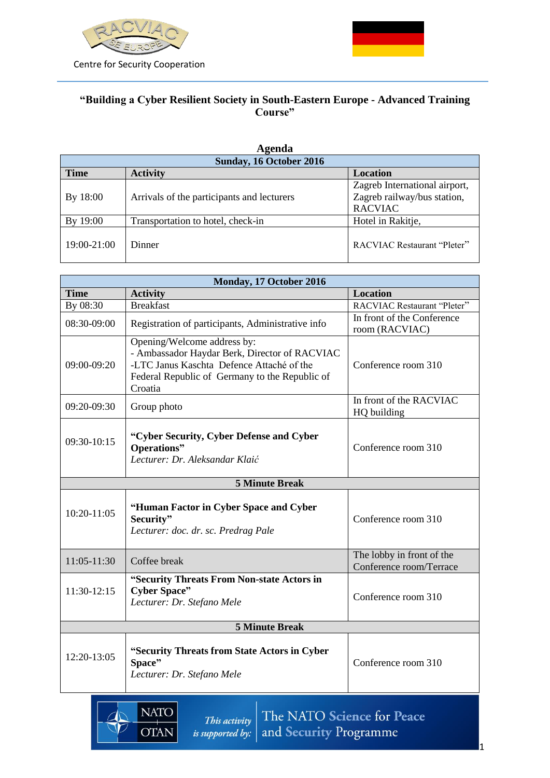



## **"Building a Cyber Resilient Society in South-Eastern Europe - Advanced Training Course"**

| Agenda                  |                                            |                                                                                |
|-------------------------|--------------------------------------------|--------------------------------------------------------------------------------|
| Sunday, 16 October 2016 |                                            |                                                                                |
| <b>Time</b>             | <b>Activity</b>                            | <b>Location</b>                                                                |
| By 18:00                | Arrivals of the participants and lecturers | Zagreb International airport,<br>Zagreb railway/bus station,<br><b>RACVIAC</b> |
| By 19:00                | Transportation to hotel, check-in          | Hotel in Rakitje,                                                              |
| 19:00-21:00             | Dinner                                     | <b>RACVIAC Restaurant "Pleter"</b>                                             |

| Monday, 17 October 2016 |                                                                                                                                                                                        |                                                      |
|-------------------------|----------------------------------------------------------------------------------------------------------------------------------------------------------------------------------------|------------------------------------------------------|
| <b>Time</b>             | <b>Activity</b>                                                                                                                                                                        | <b>Location</b>                                      |
| By 08:30                | <b>Breakfast</b>                                                                                                                                                                       | RACVIAC Restaurant "Pleter"                          |
| 08:30-09:00             | Registration of participants, Administrative info                                                                                                                                      | In front of the Conference                           |
|                         |                                                                                                                                                                                        | room (RACVIAC)                                       |
| 09:00-09:20             | Opening/Welcome address by:<br>- Ambassador Haydar Berk, Director of RACVIAC<br>-LTC Janus Kaschta Defence Attaché of the<br>Federal Republic of Germany to the Republic of<br>Croatia | Conference room 310                                  |
| 09:20-09:30             | Group photo                                                                                                                                                                            | In front of the RACVIAC<br>HQ building               |
| 09:30-10:15             | "Cyber Security, Cyber Defense and Cyber<br>Operations"<br>Lecturer: Dr. Aleksandar Klaić                                                                                              | Conference room 310                                  |
|                         | <b>5 Minute Break</b>                                                                                                                                                                  |                                                      |
| 10:20-11:05             | "Human Factor in Cyber Space and Cyber<br>Security"<br>Lecturer: doc. dr. sc. Predrag Pale                                                                                             | Conference room 310                                  |
| $11:05-11:30$           | Coffee break                                                                                                                                                                           | The lobby in front of the<br>Conference room/Terrace |
| 11:30-12:15             | "Security Threats From Non-state Actors in<br><b>Cyber Space"</b><br>Lecturer: Dr. Stefano Mele                                                                                        | Conference room 310                                  |
| <b>5 Minute Break</b>   |                                                                                                                                                                                        |                                                      |
| 12:20-13:05             | "Security Threats from State Actors in Cyber<br>Space"<br>Lecturer: Dr. Stefano Mele                                                                                                   | Conference room 310                                  |
|                         |                                                                                                                                                                                        |                                                      |

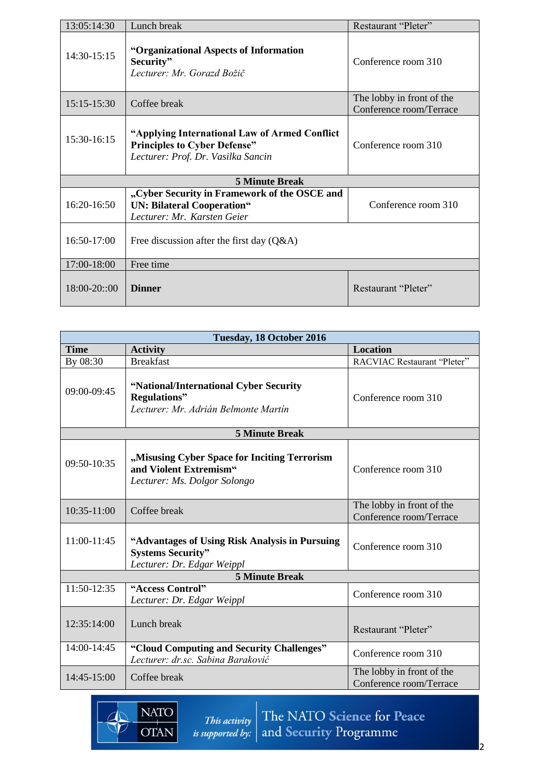| 13:05:14:30  | Lunch break                                                                                                                 | Restaurant "Pleter"                                  |
|--------------|-----------------------------------------------------------------------------------------------------------------------------|------------------------------------------------------|
| 14:30-15:15  | "Organizational Aspects of Information<br>Security"<br>Lecturer: Mr. Gorazd Božič                                           | Conference room 310                                  |
| 15:15-15:30  | Coffee break                                                                                                                | The lobby in front of the<br>Conference room/Terrace |
| 15:30-16:15  | "Applying International Law of Armed Conflict"<br><b>Principles to Cyber Defense"</b><br>Lecturer: Prof. Dr. Vasilka Sancin | Conference room 310                                  |
|              | <b>5 Minute Break</b>                                                                                                       |                                                      |
| 16:20-16:50  | "Cyber Security in Framework of the OSCE and<br><b>UN: Bilateral Cooperation"</b><br>Lecturer: Mr. Karsten Geier            | Conference room 310                                  |
| 16:50-17:00  | Free discussion after the first day $(Q&A)$                                                                                 |                                                      |
| 17:00-18:00  | Free time                                                                                                                   |                                                      |
| 18:00-20::00 | <b>Dinner</b>                                                                                                               | Restaurant "Pleter"                                  |

| Tuesday, 18 October 2016 |                                                                                                          |                                                      |
|--------------------------|----------------------------------------------------------------------------------------------------------|------------------------------------------------------|
| <b>Time</b>              | <b>Activity</b>                                                                                          | <b>Location</b>                                      |
| By 08:30                 | <b>Breakfast</b>                                                                                         | RACVIAC Restaurant "Pleter"                          |
| 09:00-09:45              | "National/International Cyber Security<br><b>Regulations</b> "<br>Lecturer: Mr. Adrián Belmonte Martín   | Conference room 310                                  |
|                          | <b>5 Minute Break</b>                                                                                    |                                                      |
| 09:50-10:35              | "Misusing Cyber Space for Inciting Terrorism<br>and Violent Extremism"<br>Lecturer: Ms. Dolgor Solongo   | Conference room 310                                  |
| 10:35-11:00              | Coffee break                                                                                             | The lobby in front of the<br>Conference room/Terrace |
| 11:00-11:45              | "Advantages of Using Risk Analysis in Pursuing<br><b>Systems Security"</b><br>Lecturer: Dr. Edgar Weippl | Conference room 310                                  |
|                          | <b>5 Minute Break</b>                                                                                    |                                                      |
| 11:50-12:35              | "Access Control"<br>Lecturer: Dr. Edgar Weippl                                                           | Conference room 310                                  |
| 12:35:14:00              | Lunch break                                                                                              | Restaurant "Pleter"                                  |
| 14:00-14:45              | "Cloud Computing and Security Challenges"<br>Lecturer: dr.sc. Sabina Baraković                           | Conference room 310                                  |
| 14:45-15:00              | Coffee break                                                                                             | The lobby in front of the<br>Conference room/Terrace |

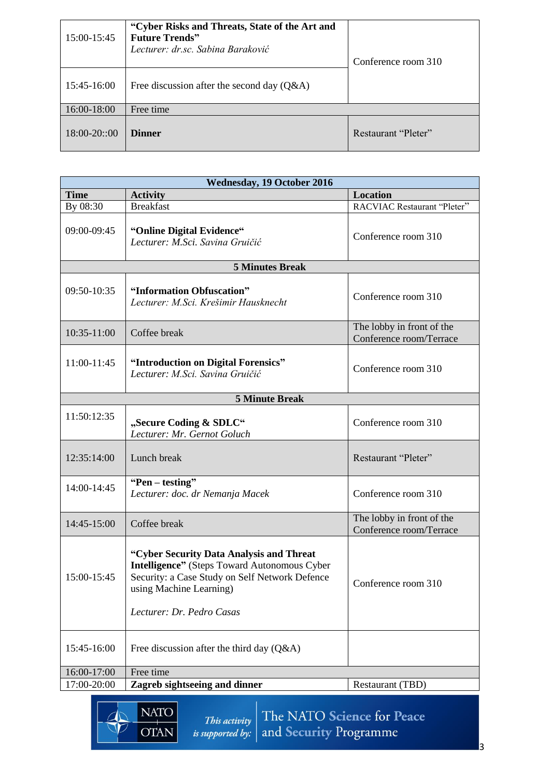| 15:00-15:45   | "Cyber Risks and Threats, State of the Art and<br><b>Future Trends"</b><br>Lecturer: dr.sc. Sabina Baraković | Conference room 310 |
|---------------|--------------------------------------------------------------------------------------------------------------|---------------------|
| 15:45-16:00   | Free discussion after the second day $(Q&A)$                                                                 |                     |
| 16:00-18:00   | Free time                                                                                                    |                     |
| $18:00-20:00$ | <b>Dinner</b>                                                                                                | Restaurant "Pleter" |

| <b>Wednesday, 19 October 2016</b> |                                                                                                                                                                                                           |                                                      |  |
|-----------------------------------|-----------------------------------------------------------------------------------------------------------------------------------------------------------------------------------------------------------|------------------------------------------------------|--|
| <b>Time</b>                       | <b>Activity</b>                                                                                                                                                                                           | <b>Location</b>                                      |  |
| By 08:30                          | <b>Breakfast</b>                                                                                                                                                                                          | RACVIAC Restaurant "Pleter"                          |  |
| 09:00-09:45                       | "Online Digital Evidence"<br>Lecturer: M.Sci. Savina Gruičić                                                                                                                                              | Conference room 310                                  |  |
|                                   | <b>5 Minutes Break</b>                                                                                                                                                                                    |                                                      |  |
| 09:50-10:35                       | "Information Obfuscation"<br>Lecturer: M.Sci. Krešimir Hausknecht                                                                                                                                         | Conference room 310                                  |  |
| 10:35-11:00                       | Coffee break                                                                                                                                                                                              | The lobby in front of the<br>Conference room/Terrace |  |
| 11:00-11:45                       | "Introduction on Digital Forensics"<br>Lecturer: M.Sci. Savina Gruičić                                                                                                                                    | Conference room 310                                  |  |
| <b>5 Minute Break</b>             |                                                                                                                                                                                                           |                                                      |  |
| 11:50:12:35                       | "Secure Coding & SDLC"<br>Lecturer: Mr. Gernot Goluch                                                                                                                                                     | Conference room 310                                  |  |
| 12:35:14:00                       | Lunch break                                                                                                                                                                                               | Restaurant "Pleter"                                  |  |
| 14:00-14:45                       | "Pen – testing"<br>Lecturer: doc. dr Nemanja Macek                                                                                                                                                        | Conference room 310                                  |  |
| 14:45-15:00                       | Coffee break                                                                                                                                                                                              | The lobby in front of the<br>Conference room/Terrace |  |
| 15:00-15:45                       | "Cyber Security Data Analysis and Threat<br><b>Intelligence"</b> (Steps Toward Autonomous Cyber<br>Security: a Case Study on Self Network Defence<br>using Machine Learning)<br>Lecturer: Dr. Pedro Casas | Conference room 310                                  |  |
| 15:45-16:00                       | Free discussion after the third day $(Q&A)$                                                                                                                                                               |                                                      |  |
| 16:00-17:00                       | Free time                                                                                                                                                                                                 |                                                      |  |
| 17:00-20:00                       | Zagreb sightseeing and dinner                                                                                                                                                                             | Restaurant (TBD)                                     |  |
|                                   |                                                                                                                                                                                                           |                                                      |  |

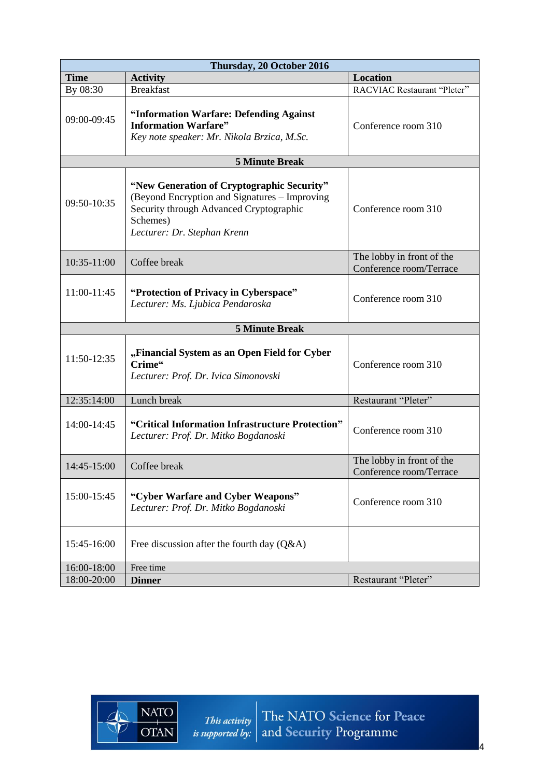| Thursday, 20 October 2016 |                                                                                                                                                                                   |                                                      |
|---------------------------|-----------------------------------------------------------------------------------------------------------------------------------------------------------------------------------|------------------------------------------------------|
| <b>Time</b>               | <b>Activity</b>                                                                                                                                                                   | <b>Location</b>                                      |
| By 08:30                  | <b>Breakfast</b>                                                                                                                                                                  | RACVIAC Restaurant "Pleter"                          |
| 09:00-09:45               | "Information Warfare: Defending Against<br><b>Information Warfare"</b><br>Key note speaker: Mr. Nikola Brzica, M.Sc.                                                              | Conference room 310                                  |
|                           | <b>5 Minute Break</b>                                                                                                                                                             |                                                      |
| 09:50-10:35               | "New Generation of Cryptographic Security"<br>(Beyond Encryption and Signatures – Improving<br>Security through Advanced Cryptographic<br>Schemes)<br>Lecturer: Dr. Stephan Krenn | Conference room 310                                  |
| 10:35-11:00               | Coffee break                                                                                                                                                                      | The lobby in front of the<br>Conference room/Terrace |
| 11:00-11:45               | "Protection of Privacy in Cyberspace"<br>Lecturer: Ms. Ljubica Pendaroska                                                                                                         | Conference room 310                                  |
|                           | <b>5 Minute Break</b>                                                                                                                                                             |                                                      |
| 11:50-12:35               | "Financial System as an Open Field for Cyber<br>Crime"<br>Lecturer: Prof. Dr. Ivica Simonovski                                                                                    | Conference room 310                                  |
| 12:35:14:00               | Lunch break                                                                                                                                                                       | Restaurant "Pleter"                                  |
| 14:00-14:45               | "Critical Information Infrastructure Protection"<br>Lecturer: Prof. Dr. Mitko Bogdanoski                                                                                          | Conference room 310                                  |
| 14:45-15:00               | Coffee break                                                                                                                                                                      | The lobby in front of the<br>Conference room/Terrace |
| 15:00-15:45               | "Cyber Warfare and Cyber Weapons"<br>Lecturer: Prof. Dr. Mitko Bogdanoski                                                                                                         | Conference room 310                                  |
| 15:45-16:00               | Free discussion after the fourth day $(Q&A)$                                                                                                                                      |                                                      |
| 16:00-18:00               | Free time                                                                                                                                                                         |                                                      |
| 18:00-20:00               | <b>Dinner</b>                                                                                                                                                                     | Restaurant "Pleter"                                  |